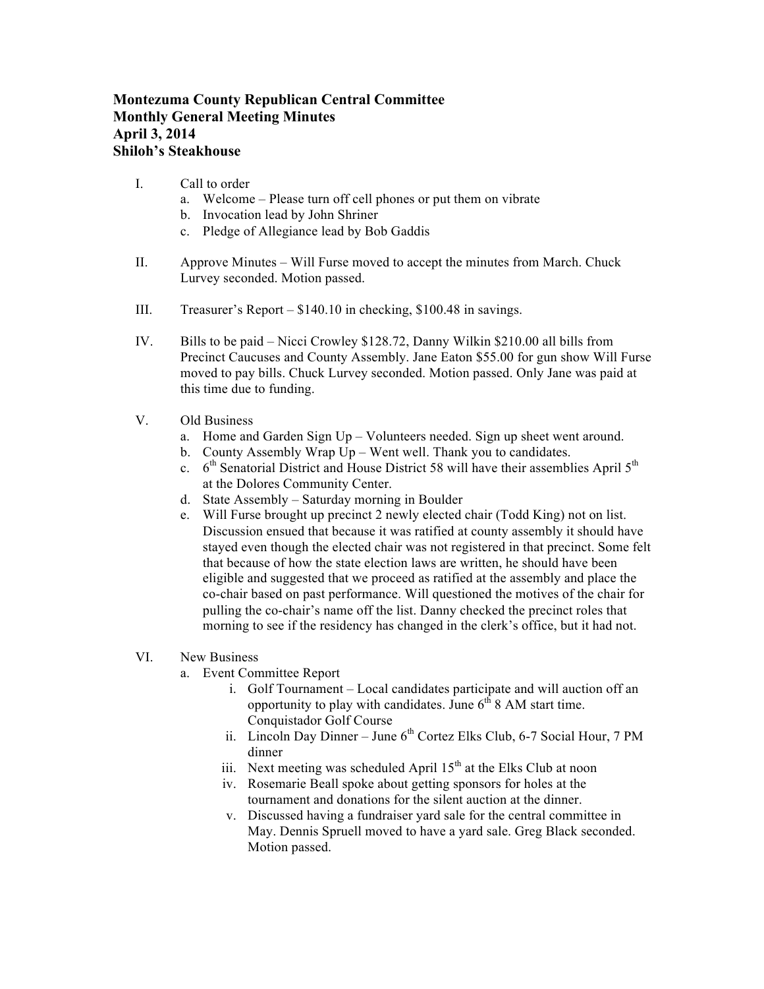## **Montezuma County Republican Central Committee Monthly General Meeting Minutes April 3, 2014 Shiloh's Steakhouse**

- I. Call to order
	- a. Welcome Please turn off cell phones or put them on vibrate
	- b. Invocation lead by John Shriner
	- c. Pledge of Allegiance lead by Bob Gaddis
- II. Approve Minutes Will Furse moved to accept the minutes from March. Chuck Lurvey seconded. Motion passed.
- III. Treasurer's Report \$140.10 in checking, \$100.48 in savings.
- IV. Bills to be paid Nicci Crowley \$128.72, Danny Wilkin \$210.00 all bills from Precinct Caucuses and County Assembly. Jane Eaton \$55.00 for gun show Will Furse moved to pay bills. Chuck Lurvey seconded. Motion passed. Only Jane was paid at this time due to funding.
- V. Old Business
	- a. Home and Garden Sign Up Volunteers needed. Sign up sheet went around.
	- b. County Assembly Wrap Up Went well. Thank you to candidates.
	- c.  $6<sup>th</sup>$  Senatorial District and House District 58 will have their assemblies April  $5<sup>th</sup>$ at the Dolores Community Center.
	- d. State Assembly Saturday morning in Boulder
	- e. Will Furse brought up precinct 2 newly elected chair (Todd King) not on list. Discussion ensued that because it was ratified at county assembly it should have stayed even though the elected chair was not registered in that precinct. Some felt that because of how the state election laws are written, he should have been eligible and suggested that we proceed as ratified at the assembly and place the co-chair based on past performance. Will questioned the motives of the chair for pulling the co-chair's name off the list. Danny checked the precinct roles that morning to see if the residency has changed in the clerk's office, but it had not.
- VI. New Business
	- a. Event Committee Report
		- i. Golf Tournament Local candidates participate and will auction off an opportunity to play with candidates. June  $6<sup>th</sup> 8$  AM start time. Conquistador Golf Course
		- ii. Lincoln Day Dinner June  $6<sup>th</sup>$  Cortez Elks Club, 6-7 Social Hour, 7 PM dinner
		- iii. Next meeting was scheduled April  $15<sup>th</sup>$  at the Elks Club at noon
		- iv. Rosemarie Beall spoke about getting sponsors for holes at the tournament and donations for the silent auction at the dinner.
		- v. Discussed having a fundraiser yard sale for the central committee in May. Dennis Spruell moved to have a yard sale. Greg Black seconded. Motion passed.